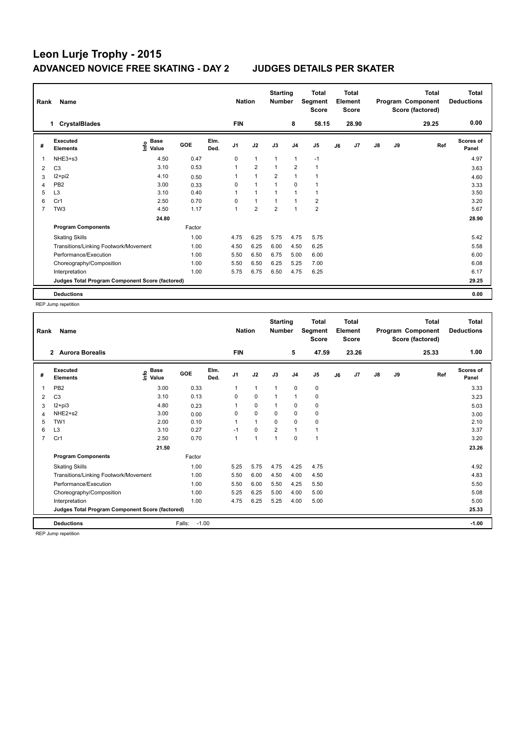| Rank<br>Name |                                                 |                           |            |              |                | <b>Nation</b>  | <b>Starting</b><br><b>Number</b> |                | <b>Total</b><br>Segment<br><b>Score</b> | <b>Total</b><br>Element<br><b>Score</b> |       |               |    | <b>Total</b><br>Program Component<br>Score (factored) | <b>Total</b><br><b>Deductions</b> |
|--------------|-------------------------------------------------|---------------------------|------------|--------------|----------------|----------------|----------------------------------|----------------|-----------------------------------------|-----------------------------------------|-------|---------------|----|-------------------------------------------------------|-----------------------------------|
|              | <b>CrystalBlades</b><br>1.                      |                           |            |              | <b>FIN</b>     |                |                                  | 8              | 58.15                                   |                                         | 28.90 |               |    | 29.25                                                 | 0.00                              |
| #            | <b>Executed</b><br><b>Elements</b>              | Base<br>e Base<br>⊆ Value | <b>GOE</b> | Elm.<br>Ded. | J <sub>1</sub> | J2             | J3                               | J <sub>4</sub> | J5                                      | J6                                      | J7    | $\mathsf{J}8$ | J9 | Ref                                                   | <b>Scores of</b><br>Panel         |
| 1            | NHE3+s3                                         | 4.50                      | 0.47       |              | 0              | $\mathbf{1}$   | 1                                | $\mathbf{1}$   | $-1$                                    |                                         |       |               |    |                                                       | 4.97                              |
| 2            | C <sub>3</sub>                                  | 3.10                      | 0.53       |              | 1              | $\overline{2}$ | $\overline{1}$                   | $\overline{2}$ | $\mathbf{1}$                            |                                         |       |               |    |                                                       | 3.63                              |
| 3            | I2+pi2                                          | 4.10                      | 0.50       |              | 1              | $\overline{1}$ | $\overline{2}$                   | $\overline{1}$ |                                         |                                         |       |               |    |                                                       | 4.60                              |
| 4            | PB <sub>2</sub>                                 | 3.00                      | 0.33       |              | 0              | $\mathbf{1}$   | $\overline{1}$                   | $\mathbf 0$    |                                         |                                         |       |               |    |                                                       | 3.33                              |
| 5            | L <sub>3</sub>                                  | 3.10                      | 0.40       |              | 1              | $\mathbf{1}$   |                                  | 1              | 1                                       |                                         |       |               |    |                                                       | 3.50                              |
| 6            | Cr1                                             | 2.50                      | 0.70       |              | 0              | $\mathbf{1}$   | 1                                | $\overline{1}$ | $\overline{2}$                          |                                         |       |               |    |                                                       | 3.20                              |
| 7            | TW <sub>3</sub>                                 | 4.50                      | 1.17       |              | 1              | $\overline{2}$ | $\overline{2}$                   | $\overline{1}$ | $\overline{2}$                          |                                         |       |               |    |                                                       | 5.67                              |
|              |                                                 | 24.80                     |            |              |                |                |                                  |                |                                         |                                         |       |               |    |                                                       | 28.90                             |
|              | <b>Program Components</b>                       |                           | Factor     |              |                |                |                                  |                |                                         |                                         |       |               |    |                                                       |                                   |
|              | <b>Skating Skills</b>                           |                           | 1.00       |              | 4.75           | 6.25           | 5.75                             | 4.75           | 5.75                                    |                                         |       |               |    |                                                       | 5.42                              |
|              | Transitions/Linking Footwork/Movement           |                           | 1.00       |              | 4.50           | 6.25           | 6.00                             | 4.50           | 6.25                                    |                                         |       |               |    |                                                       | 5.58                              |
|              | Performance/Execution                           |                           | 1.00       |              | 5.50           | 6.50           | 6.75                             | 5.00           | 6.00                                    |                                         |       |               |    |                                                       | 6.00                              |
|              | Choreography/Composition                        |                           | 1.00       |              | 5.50           | 6.50           | 6.25                             | 5.25           | 7.00                                    |                                         |       |               |    |                                                       | 6.08                              |
|              | Interpretation                                  |                           | 1.00       |              | 5.75           | 6.75           | 6.50                             | 4.75           | 6.25                                    |                                         |       |               |    |                                                       | 6.17                              |
|              | Judges Total Program Component Score (factored) |                           |            |              |                |                |                                  |                |                                         |                                         |       |               |    |                                                       | 29.25                             |
|              | <b>Deductions</b>                               |                           |            |              |                |                |                                  |                |                                         |                                         |       |               |    |                                                       | 0.00                              |

REP Jump repetition

| Name<br>Rank   |                                                 |                            |                   |              |                | <b>Starting</b><br><b>Nation</b><br><b>Number</b> |                |                | <b>Total</b><br>Segment<br><b>Score</b> |    | Total<br>Element<br><b>Score</b> |               |    | <b>Total</b><br>Program Component<br>Score (factored) | <b>Total</b><br><b>Deductions</b> |
|----------------|-------------------------------------------------|----------------------------|-------------------|--------------|----------------|---------------------------------------------------|----------------|----------------|-----------------------------------------|----|----------------------------------|---------------|----|-------------------------------------------------------|-----------------------------------|
|                | 2 Aurora Borealis                               |                            |                   |              | <b>FIN</b>     |                                                   |                | 5              | 47.59                                   |    | 23.26                            |               |    | 25.33                                                 | 1.00                              |
| #              | Executed<br><b>Elements</b>                     | <b>Base</b><br>۴ů<br>Value | GOE               | Elm.<br>Ded. | J <sub>1</sub> | J2                                                | J3             | J <sub>4</sub> | J <sub>5</sub>                          | J6 | J <sub>7</sub>                   | $\mathsf{J}8$ | J9 | Ref                                                   | <b>Scores of</b><br>Panel         |
| 1              | PB <sub>2</sub>                                 | 3.00                       | 0.33              |              | 1              | $\mathbf{1}$                                      | $\mathbf 1$    | 0              | 0                                       |    |                                  |               |    |                                                       | 3.33                              |
| 2              | C <sub>3</sub>                                  | 3.10                       | 0.13              |              | 0              | $\mathbf 0$                                       |                | 1              | 0                                       |    |                                  |               |    |                                                       | 3.23                              |
| 3              | $12+pi3$                                        | 4.80                       | 0.23              |              |                | 0                                                 |                | 0              | 0                                       |    |                                  |               |    |                                                       | 5.03                              |
| 4              | NHE2+s2                                         | 3.00                       | 0.00              |              | 0              | $\mathbf 0$                                       | 0              | 0              | 0                                       |    |                                  |               |    |                                                       | 3.00                              |
| 5              | TW <sub>1</sub>                                 | 2.00                       | 0.10              |              |                | $\mathbf{1}$                                      | $\Omega$       | $\Omega$       | 0                                       |    |                                  |               |    |                                                       | 2.10                              |
| 6              | L <sub>3</sub>                                  | 3.10                       | 0.27              |              | $-1$           | $\mathbf 0$                                       | $\overline{2}$ | 1              | 1                                       |    |                                  |               |    |                                                       | 3.37                              |
| $\overline{7}$ | Cr1                                             | 2.50                       | 0.70              |              | 1              | $\overline{1}$                                    | $\overline{ }$ | $\mathbf 0$    | $\mathbf{1}$                            |    |                                  |               |    |                                                       | 3.20                              |
|                |                                                 | 21.50                      |                   |              |                |                                                   |                |                |                                         |    |                                  |               |    |                                                       | 23.26                             |
|                | <b>Program Components</b>                       |                            | Factor            |              |                |                                                   |                |                |                                         |    |                                  |               |    |                                                       |                                   |
|                | <b>Skating Skills</b>                           |                            | 1.00              |              | 5.25           | 5.75                                              | 4.75           | 4.25           | 4.75                                    |    |                                  |               |    |                                                       | 4.92                              |
|                | Transitions/Linking Footwork/Movement           |                            | 1.00              |              | 5.50           | 6.00                                              | 4.50           | 4.00           | 4.50                                    |    |                                  |               |    |                                                       | 4.83                              |
|                | Performance/Execution                           |                            | 1.00              |              | 5.50           | 6.00                                              | 5.50           | 4.25           | 5.50                                    |    |                                  |               |    |                                                       | 5.50                              |
|                | Choreography/Composition                        |                            | 1.00              |              | 5.25           | 6.25                                              | 5.00           | 4.00           | 5.00                                    |    |                                  |               |    |                                                       | 5.08                              |
|                | Interpretation                                  |                            | 1.00              |              | 4.75           | 6.25                                              | 5.25           | 4.00           | 5.00                                    |    |                                  |               |    |                                                       | 5.00                              |
|                | Judges Total Program Component Score (factored) |                            |                   |              |                |                                                   |                |                |                                         |    |                                  |               |    |                                                       | 25.33                             |
|                | <b>Deductions</b>                               |                            | Falls:<br>$-1.00$ |              |                |                                                   |                |                |                                         |    |                                  |               |    |                                                       | $-1.00$                           |

REP Jump repetition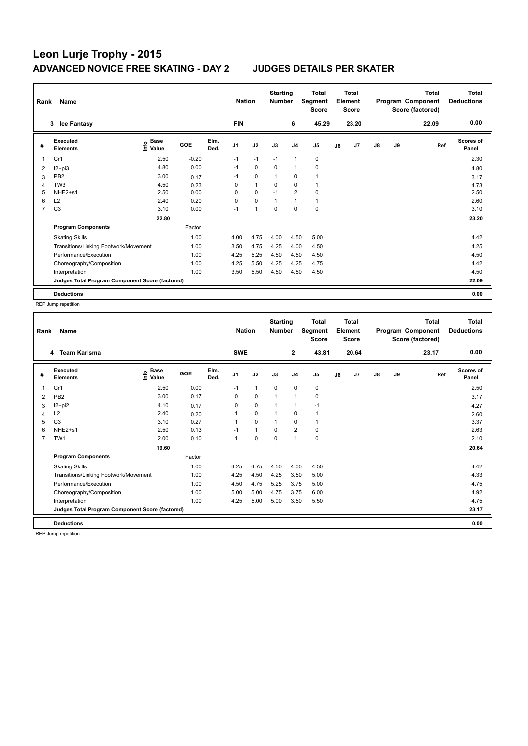| Rank<br>Name |                                                 |                           |            |              |                | <b>Nation</b>  | <b>Starting</b><br><b>Number</b> |                | <b>Total</b><br>Segment<br><b>Score</b> | <b>Total</b><br>Element<br><b>Score</b> |       |               |    | <b>Total</b><br>Program Component<br>Score (factored) | <b>Total</b><br><b>Deductions</b> |
|--------------|-------------------------------------------------|---------------------------|------------|--------------|----------------|----------------|----------------------------------|----------------|-----------------------------------------|-----------------------------------------|-------|---------------|----|-------------------------------------------------------|-----------------------------------|
|              | 3 Ice Fantasy                                   |                           |            |              | <b>FIN</b>     |                |                                  | 6              | 45.29                                   |                                         | 23.20 |               |    | 22.09                                                 | 0.00                              |
| #            | <b>Executed</b><br><b>Elements</b>              | Base<br>e Base<br>⊆ Value | <b>GOE</b> | Elm.<br>Ded. | J <sub>1</sub> | J2             | J3                               | J <sub>4</sub> | J5                                      | J6                                      | J7    | $\mathsf{J}8$ | J9 | Ref                                                   | <b>Scores of</b><br>Panel         |
| 1            | Cr1                                             | 2.50                      | $-0.20$    |              | $-1$           | $-1$           | $-1$                             | $\mathbf{1}$   | 0                                       |                                         |       |               |    |                                                       | 2.30                              |
| 2            | $12+pi3$                                        | 4.80                      | 0.00       |              | $-1$           | $\Omega$       | $\Omega$                         | $\mathbf{1}$   | $\mathbf 0$                             |                                         |       |               |    |                                                       | 4.80                              |
| 3            | PB <sub>2</sub>                                 | 3.00                      | 0.17       |              | $-1$           | 0              | 1                                | 0              | 1                                       |                                         |       |               |    |                                                       | 3.17                              |
| 4            | TW <sub>3</sub>                                 | 4.50                      | 0.23       |              | 0              | $\mathbf{1}$   | 0                                | $\mathbf 0$    | $\mathbf{1}$                            |                                         |       |               |    |                                                       | 4.73                              |
| 5            | NHE <sub>2+s1</sub>                             | 2.50                      | 0.00       |              | 0              | $\mathbf 0$    | $-1$                             | $\overline{2}$ | $\mathbf 0$                             |                                         |       |               |    |                                                       | 2.50                              |
| 6            | L2                                              | 2.40                      | 0.20       |              | 0              | $\mathbf 0$    | 1                                | $\overline{1}$ | $\mathbf{1}$                            |                                         |       |               |    |                                                       | 2.60                              |
| 7            | C <sub>3</sub>                                  | 3.10                      | 0.00       |              | $-1$           | $\overline{1}$ | $\mathbf 0$                      | $\mathbf 0$    | $\pmb{0}$                               |                                         |       |               |    |                                                       | 3.10                              |
|              |                                                 | 22.80                     |            |              |                |                |                                  |                |                                         |                                         |       |               |    |                                                       | 23.20                             |
|              | <b>Program Components</b>                       |                           | Factor     |              |                |                |                                  |                |                                         |                                         |       |               |    |                                                       |                                   |
|              | <b>Skating Skills</b>                           |                           | 1.00       |              | 4.00           | 4.75           | 4.00                             | 4.50           | 5.00                                    |                                         |       |               |    |                                                       | 4.42                              |
|              | Transitions/Linking Footwork/Movement           |                           | 1.00       |              | 3.50           | 4.75           | 4.25                             | 4.00           | 4.50                                    |                                         |       |               |    |                                                       | 4.25                              |
|              | Performance/Execution                           |                           | 1.00       |              | 4.25           | 5.25           | 4.50                             | 4.50           | 4.50                                    |                                         |       |               |    |                                                       | 4.50                              |
|              | Choreography/Composition                        |                           | 1.00       |              | 4.25           | 5.50           | 4.25                             | 4.25           | 4.75                                    |                                         |       |               |    |                                                       | 4.42                              |
|              | Interpretation                                  |                           | 1.00       |              | 3.50           | 5.50           | 4.50                             | 4.50           | 4.50                                    |                                         |       |               |    |                                                       | 4.50                              |
|              | Judges Total Program Component Score (factored) |                           |            |              |                |                |                                  |                |                                         |                                         |       |               |    |                                                       | 22.09                             |
|              | <b>Deductions</b>                               |                           |            |              |                |                |                                  |                |                                         |                                         |       |               |    |                                                       | 0.00                              |

REP Jump repetition

| Name<br>Rank   |                                                 |                    |        |              |                | <b>Nation</b> | <b>Starting</b><br><b>Number</b> |                | <b>Total</b><br>Segment<br><b>Score</b> | <b>Total</b><br>Element<br><b>Score</b> |       | Program Component |    | <b>Total</b><br>Score (factored) | <b>Total</b><br><b>Deductions</b> |
|----------------|-------------------------------------------------|--------------------|--------|--------------|----------------|---------------|----------------------------------|----------------|-----------------------------------------|-----------------------------------------|-------|-------------------|----|----------------------------------|-----------------------------------|
|                | <b>Team Karisma</b><br>4                        |                    |        |              | <b>SWE</b>     |               |                                  | $\mathbf{2}$   | 43.81                                   |                                         | 20.64 |                   |    | 23.17                            | 0.00                              |
| #              | Executed<br><b>Elements</b>                     | $\frac{e}{2}$ Base | GOE    | Elm.<br>Ded. | J <sub>1</sub> | J2            | J3                               | J <sub>4</sub> | J <sub>5</sub>                          | J6                                      | J7    | $\mathsf{J}8$     | J9 | Ref                              | <b>Scores of</b><br>Panel         |
| 1              | Cr1                                             | 2.50               | 0.00   |              | $-1$           | $\mathbf{1}$  | 0                                | 0              | 0                                       |                                         |       |                   |    |                                  | 2.50                              |
| 2              | PB <sub>2</sub>                                 | 3.00               | 0.17   |              | 0              | $\mathbf 0$   | $\mathbf{1}$                     | $\mathbf{1}$   | 0                                       |                                         |       |                   |    |                                  | 3.17                              |
| 3              | $12+pi2$                                        | 4.10               | 0.17   |              | 0              | $\mathbf 0$   | $\mathbf{1}$                     | 1              | $-1$                                    |                                         |       |                   |    |                                  | 4.27                              |
| 4              | L2                                              | 2.40               | 0.20   |              | 1              | 0             | $\mathbf{1}$                     | 0              | $\mathbf{1}$                            |                                         |       |                   |    |                                  | 2.60                              |
| 5              | C <sub>3</sub>                                  | 3.10               | 0.27   |              | 1              | $\mathbf 0$   | $\mathbf 1$                      | $\mathbf 0$    | 1                                       |                                         |       |                   |    |                                  | 3.37                              |
| 6              | NHE <sub>2+s1</sub>                             | 2.50               | 0.13   |              | $-1$           | $\mathbf{1}$  | $\Omega$                         | $\overline{2}$ | $\mathbf 0$                             |                                         |       |                   |    |                                  | 2.63                              |
| $\overline{7}$ | TW <sub>1</sub>                                 | 2.00               | 0.10   |              | $\mathbf{1}$   | $\mathbf 0$   | $\mathbf 0$                      | $\mathbf{1}$   | $\mathbf 0$                             |                                         |       |                   |    |                                  | 2.10                              |
|                |                                                 | 19.60              |        |              |                |               |                                  |                |                                         |                                         |       |                   |    |                                  | 20.64                             |
|                | <b>Program Components</b>                       |                    | Factor |              |                |               |                                  |                |                                         |                                         |       |                   |    |                                  |                                   |
|                | <b>Skating Skills</b>                           |                    | 1.00   |              | 4.25           | 4.75          | 4.50                             | 4.00           | 4.50                                    |                                         |       |                   |    |                                  | 4.42                              |
|                | Transitions/Linking Footwork/Movement           |                    | 1.00   |              | 4.25           | 4.50          | 4.25                             | 3.50           | 5.00                                    |                                         |       |                   |    |                                  | 4.33                              |
|                | Performance/Execution                           |                    | 1.00   |              | 4.50           | 4.75          | 5.25                             | 3.75           | 5.00                                    |                                         |       |                   |    |                                  | 4.75                              |
|                | Choreography/Composition                        |                    | 1.00   |              | 5.00           | 5.00          | 4.75                             | 3.75           | 6.00                                    |                                         |       |                   |    |                                  | 4.92                              |
|                | Interpretation                                  |                    | 1.00   |              | 4.25           | 5.00          | 5.00                             | 3.50           | 5.50                                    |                                         |       |                   |    |                                  | 4.75                              |
|                | Judges Total Program Component Score (factored) |                    |        |              |                |               |                                  |                |                                         |                                         |       |                   |    |                                  | 23.17                             |
|                | <b>Deductions</b>                               |                    |        |              |                |               |                                  |                |                                         |                                         |       |                   |    |                                  | 0.00                              |

REP Jump repetition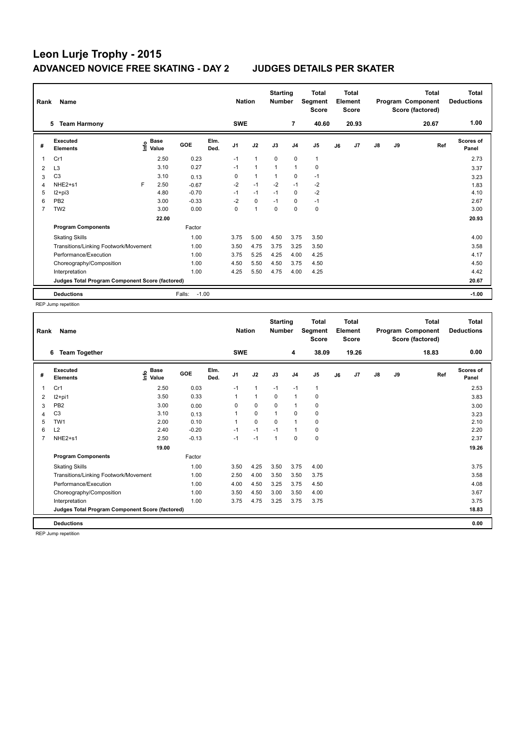| Rank<br>Name |                                                 |   |                                  |                   |              |                | <b>Nation</b>  | <b>Starting</b><br><b>Number</b> |                | <b>Total</b><br>Segment<br><b>Score</b> | <b>Total</b><br>Element<br><b>Score</b> |       |               |    | <b>Total</b><br>Program Component<br>Score (factored) | Total<br><b>Deductions</b> |
|--------------|-------------------------------------------------|---|----------------------------------|-------------------|--------------|----------------|----------------|----------------------------------|----------------|-----------------------------------------|-----------------------------------------|-------|---------------|----|-------------------------------------------------------|----------------------------|
|              | <b>Team Harmony</b><br>5                        |   |                                  |                   |              | <b>SWE</b>     |                |                                  | 7              | 40.60                                   |                                         | 20.93 |               |    | 20.67                                                 | 1.00                       |
| #            | <b>Executed</b><br><b>Elements</b>              |   | <b>Base</b><br>e Base<br>⊆ Value | GOE               | Elm.<br>Ded. | J <sub>1</sub> | J2             | J3                               | J <sub>4</sub> | J <sub>5</sub>                          | J6                                      | J7    | $\mathsf{J}8$ | J9 | Ref                                                   | <b>Scores of</b><br>Panel  |
| 1            | Cr1                                             |   | 2.50                             | 0.23              |              | $-1$           | $\mathbf{1}$   | 0                                | $\pmb{0}$      | $\mathbf{1}$                            |                                         |       |               |    |                                                       | 2.73                       |
| 2            | L <sub>3</sub>                                  |   | 3.10                             | 0.27              |              | $-1$           | $\mathbf{1}$   | $\overline{1}$                   | $\mathbf{1}$   | 0                                       |                                         |       |               |    |                                                       | 3.37                       |
| 3            | C <sub>3</sub>                                  |   | 3.10                             | 0.13              |              | 0              | $\mathbf{1}$   | 1                                | 0              | $-1$                                    |                                         |       |               |    |                                                       | 3.23                       |
| 4            | NHE2+s1                                         | F | 2.50                             | $-0.67$           |              | $-2$           | $-1$           | $-2$                             | $-1$           | $-2$                                    |                                         |       |               |    |                                                       | 1.83                       |
| 5            | $12+pi3$                                        |   | 4.80                             | $-0.70$           |              | $-1$           | $-1$           | $-1$                             | 0              | $-2$                                    |                                         |       |               |    |                                                       | 4.10                       |
| 6            | PB <sub>2</sub>                                 |   | 3.00                             | $-0.33$           |              | $-2$           | $\mathbf 0$    | $-1$                             | 0              | $-1$                                    |                                         |       |               |    |                                                       | 2.67                       |
| 7            | TW <sub>2</sub>                                 |   | 3.00                             | 0.00              |              | 0              | $\overline{1}$ | 0                                | 0              | $\pmb{0}$                               |                                         |       |               |    |                                                       | 3.00                       |
|              |                                                 |   | 22.00                            |                   |              |                |                |                                  |                |                                         |                                         |       |               |    |                                                       | 20.93                      |
|              | <b>Program Components</b>                       |   |                                  | Factor            |              |                |                |                                  |                |                                         |                                         |       |               |    |                                                       |                            |
|              | <b>Skating Skills</b>                           |   |                                  | 1.00              |              | 3.75           | 5.00           | 4.50                             | 3.75           | 3.50                                    |                                         |       |               |    |                                                       | 4.00                       |
|              | Transitions/Linking Footwork/Movement           |   |                                  | 1.00              |              | 3.50           | 4.75           | 3.75                             | 3.25           | 3.50                                    |                                         |       |               |    |                                                       | 3.58                       |
|              | Performance/Execution                           |   |                                  | 1.00              |              | 3.75           | 5.25           | 4.25                             | 4.00           | 4.25                                    |                                         |       |               |    |                                                       | 4.17                       |
|              | Choreography/Composition                        |   |                                  | 1.00              |              | 4.50           | 5.50           | 4.50                             | 3.75           | 4.50                                    |                                         |       |               |    |                                                       | 4.50                       |
|              | Interpretation                                  |   |                                  | 1.00              |              | 4.25           | 5.50           | 4.75                             | 4.00           | 4.25                                    |                                         |       |               |    |                                                       | 4.42                       |
|              | Judges Total Program Component Score (factored) |   |                                  |                   |              |                |                |                                  |                |                                         |                                         |       |               |    |                                                       | 20.67                      |
|              | <b>Deductions</b>                               |   |                                  | Falls:<br>$-1.00$ |              |                |                |                                  |                |                                         |                                         |       |               |    |                                                       | $-1.00$                    |

REP Jump repetition

|   | Name<br>Rank                                    |                    |         |              |                | <b>Nation</b> | <b>Starting</b><br><b>Number</b> |                | <b>Total</b><br>Segment<br><b>Score</b> | <b>Total</b><br>Element<br><b>Score</b> |       | Program Component |    | <b>Total</b><br>Score (factored) | <b>Total</b><br><b>Deductions</b> |
|---|-------------------------------------------------|--------------------|---------|--------------|----------------|---------------|----------------------------------|----------------|-----------------------------------------|-----------------------------------------|-------|-------------------|----|----------------------------------|-----------------------------------|
|   | <b>Team Together</b><br>6                       |                    |         |              | <b>SWE</b>     |               |                                  | 4              | 38.09                                   |                                         | 19.26 |                   |    | 18.83                            | 0.00                              |
| # | Executed<br><b>Elements</b>                     | $\frac{e}{2}$ Base | GOE     | Elm.<br>Ded. | J <sub>1</sub> | J2            | J3                               | J <sub>4</sub> | J <sub>5</sub>                          | J6                                      | J7    | $\mathsf{J}8$     | J9 | Ref                              | <b>Scores of</b><br>Panel         |
| 1 | Cr1                                             | 2.50               | 0.03    |              | $-1$           | $\mathbf{1}$  | $-1$                             | $-1$           | $\mathbf{1}$                            |                                         |       |                   |    |                                  | 2.53                              |
| 2 | I2+pi1                                          | 3.50               | 0.33    |              | 1              | $\mathbf{1}$  | $\Omega$                         | $\mathbf{1}$   | $\mathbf 0$                             |                                         |       |                   |    |                                  | 3.83                              |
| 3 | PB <sub>2</sub>                                 | 3.00               | 0.00    |              | 0              | $\mathbf 0$   | 0                                | 1              | 0                                       |                                         |       |                   |    |                                  | 3.00                              |
| 4 | C <sub>3</sub>                                  | 3.10               | 0.13    |              | 1              | 0             | $\mathbf{1}$                     | 0              | 0                                       |                                         |       |                   |    |                                  | 3.23                              |
| 5 | TW <sub>1</sub>                                 | 2.00               | 0.10    |              | 1              | $\mathbf 0$   | $\Omega$                         | $\mathbf{1}$   | 0                                       |                                         |       |                   |    |                                  | 2.10                              |
| 6 | L2                                              | 2.40               | $-0.20$ |              | $-1$           | $-1$          | $-1$                             | $\mathbf{1}$   | 0                                       |                                         |       |                   |    |                                  | 2.20                              |
| 7 | NHE <sub>2+s1</sub>                             | 2.50               | $-0.13$ |              | $-1$           | $-1$          | $\mathbf{1}$                     | $\mathbf 0$    | $\mathbf 0$                             |                                         |       |                   |    |                                  | 2.37                              |
|   |                                                 | 19.00              |         |              |                |               |                                  |                |                                         |                                         |       |                   |    |                                  | 19.26                             |
|   | <b>Program Components</b>                       |                    | Factor  |              |                |               |                                  |                |                                         |                                         |       |                   |    |                                  |                                   |
|   | <b>Skating Skills</b>                           |                    | 1.00    |              | 3.50           | 4.25          | 3.50                             | 3.75           | 4.00                                    |                                         |       |                   |    |                                  | 3.75                              |
|   | Transitions/Linking Footwork/Movement           |                    | 1.00    |              | 2.50           | 4.00          | 3.50                             | 3.50           | 3.75                                    |                                         |       |                   |    |                                  | 3.58                              |
|   | Performance/Execution                           |                    | 1.00    |              | 4.00           | 4.50          | 3.25                             | 3.75           | 4.50                                    |                                         |       |                   |    |                                  | 4.08                              |
|   | Choreography/Composition                        |                    | 1.00    |              | 3.50           | 4.50          | 3.00                             | 3.50           | 4.00                                    |                                         |       |                   |    |                                  | 3.67                              |
|   | Interpretation                                  |                    | 1.00    |              | 3.75           | 4.75          | 3.25                             | 3.75           | 3.75                                    |                                         |       |                   |    |                                  | 3.75                              |
|   | Judges Total Program Component Score (factored) |                    |         |              |                |               |                                  |                |                                         |                                         |       |                   |    |                                  | 18.83                             |
|   | <b>Deductions</b>                               |                    |         |              |                |               |                                  |                |                                         |                                         |       |                   |    |                                  | 0.00                              |

REP Jump repetition